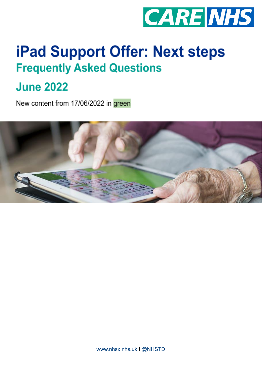

# **iPad Support Offer: Next steps Frequently Asked Questions**

# **June 2022**

New content from 17/06/2022 in green

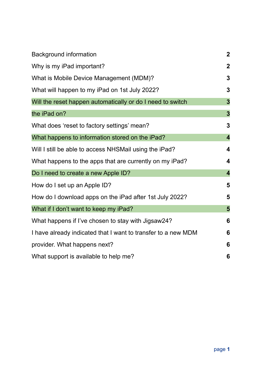| <b>Background information</b>                                 | $\overline{2}$          |
|---------------------------------------------------------------|-------------------------|
| Why is my iPad important?                                     | $\overline{2}$          |
| What is Mobile Device Management (MDM)?                       | 3                       |
| What will happen to my iPad on 1st July 2022?                 | 3                       |
| Will the reset happen automatically or do I need to switch    | $\overline{3}$          |
| the iPad on?                                                  | $\overline{\mathbf{3}}$ |
| What does 'reset to factory settings' mean?                   | 3                       |
| What happens to information stored on the iPad?               | $\overline{\mathbf{4}}$ |
| Will I still be able to access NHSMail using the iPad?        | 4                       |
| What happens to the apps that are currently on my iPad?       | 4                       |
| Do I need to create a new Apple ID?                           | $\overline{\mathbf{4}}$ |
| How do I set up an Apple ID?                                  | 5                       |
| How do I download apps on the iPad after 1st July 2022?       | 5                       |
| What if I don't want to keep my iPad?                         | 5                       |
| What happens if I've chosen to stay with Jigsaw24?            | 6                       |
| I have already indicated that I want to transfer to a new MDM | 6                       |
| provider. What happens next?                                  | 6                       |
| What support is available to help me?                         | 6                       |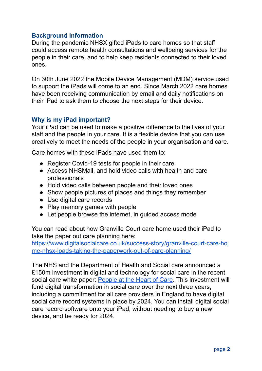# <span id="page-2-0"></span>**Background information**

During the pandemic NHSX gifted iPads to care homes so that staff could access remote health consultations and wellbeing services for the people in their care, and to help keep residents connected to their loved ones.

On 30th June 2022 the Mobile Device Management (MDM) service used to support the iPads will come to an end. Since March 2022 care homes have been receiving communication by email and daily notifications on their iPad to ask them to choose the next steps for their device.

# <span id="page-2-1"></span>**Why is my iPad important?**

Your iPad can be used to make a positive difference to the lives of your staff and the people in your care. It is a flexible device that you can use creatively to meet the needs of the people in your organisation and care.

Care homes with these iPads have used them to:

- Register Covid-19 tests for people in their care
- Access NHSMail, and hold video calls with health and care professionals
- Hold video calls between people and their loved ones
- Show people pictures of places and things they remember
- Use digital care records
- Play memory games with people
- Let people browse the internet, in quided access mode

You can read about how Granville Court care home used their iPad to take the paper out care planning here:

[https://www.digitalsocialcare.co.uk/success-story/granville-court-care-ho](https://www.digitalsocialcare.co.uk/success-story/granville-court-care-home-nhsx-ipads-taking-the-paperwork-out-of-care-planning/) [me-nhsx-ipads-taking-the-paperwork-out-of-care-planning/](https://www.digitalsocialcare.co.uk/success-story/granville-court-care-home-nhsx-ipads-taking-the-paperwork-out-of-care-planning/)

The NHS and the Department of Health and Social care announced a £150m investment in digital and technology for social care in the recent social care white paper: [People](https://www.gov.uk/government/publications/people-at-the-heart-of-care-adult-social-care-reform-white-paper/people-at-the-heart-of-care-adult-social-care-reform) at the Heart of Care. This investment will fund digital transformation in social care over the next three years, including a commitment for all care providers in England to have digital social care record systems in place by 2024. You can install digital social care record software onto your iPad, without needing to buy a new device, and be ready for 2024.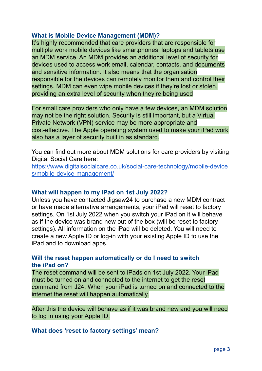# <span id="page-3-0"></span>**What is Mobile Device Management (MDM)?**

It's highly recommended that care providers that are responsible for multiple work mobile devices like smartphones, laptops and tablets use an MDM service. An MDM provides an additional level of security for devices used to access work email, calendar, contacts, and documents and sensitive information. It also means that the organisation responsible for the devices can remotely monitor them and control their settings. MDM can even wipe mobile devices if they're lost or stolen, providing an extra level of security when they're being used

For small care providers who only have a few devices, an MDM solution may not be the right solution. Security is still important, but a Virtual Private Network (VPN) service may be more appropriate and cost-effective. The Apple operating system used to make your iPad work also has a layer of security built in as standard.

You can find out more about MDM solutions for care providers by visiting Digital Social Care here:

[https://www.digitalsocialcare.co.uk/social-care-technology/mobile-device](https://www.digitalsocialcare.co.uk/social-care-technology/mobile-devices/mobile-device-management/) [s/mobile-device-management/](https://www.digitalsocialcare.co.uk/social-care-technology/mobile-devices/mobile-device-management/)

# <span id="page-3-1"></span>**What will happen to my iPad on 1st July 2022?**

Unless you have contacted Jigsaw24 to purchase a new MDM contract or have made alternative arrangements, your iPad will reset to factory settings. On 1st July 2022 when you switch your iPad on it will behave as if the device was brand new out of the box (will be reset to factory settings). All information on the iPad will be deleted. You will need to create a new Apple ID or log-in with your existing Apple ID to use the iPad and to download apps.

# <span id="page-3-3"></span><span id="page-3-2"></span>**Will the reset happen automatically or do I need to switch the iPad on?**

The reset command will be sent to iPads on 1st July 2022. Your iPad must be turned on and connected to the internet to get the reset command from J24. When your iPad is turned on and connected to the internet the reset will happen automatically.

After this the device will behave as if it was brand new and you will need to log in using your Apple ID.

<span id="page-3-4"></span>**What does 'reset to factory settings' mean?**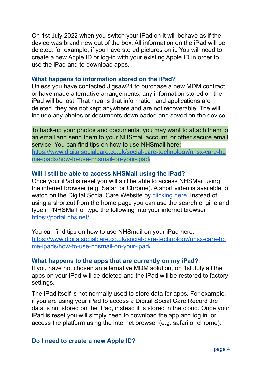On 1st July 2022 when you switch your iPad on it will behave as if the device was brand new out of the box. All information on the iPad will be deleted. for example, if you have stored pictures on it. You will need to create a new Apple ID or log-in with your existing Apple ID in order to use the iPad and to download apps.

#### <span id="page-4-0"></span>**What happens to information stored on the iPad?**

Unless you have contacted Jigsaw24 to purchase a new MDM contract or have made alternative arrangements, any information stored on the iPad will be lost. That means that information and applications are deleted, they are not kept anywhere and are not recoverable. The will include any photos or documents downloaded and saved on the device.

To back-up your photos and documents, you may want to attach them to an email and send them to your NHSmail account, or other secure email service. You can find tips on how to use NHSmail here: [https://www.digitalsocialcare.co.uk/social-care-technology/nhsx-care-ho](https://www.digitalsocialcare.co.uk/social-care-technology/nhsx-care-home-ipads/how-to-use-nhsmail-on-your-ipad/) [me-ipads/how-to-use-nhsmail-on-your-ipad/](https://www.digitalsocialcare.co.uk/social-care-technology/nhsx-care-home-ipads/how-to-use-nhsmail-on-your-ipad/)

# <span id="page-4-1"></span>**Will I still be able to access NHSMail using the iPad?**

Once your iPad is reset you will still be able to access NHSMail using the internet browser (e.g. Safari or Chrome). A short video is available to watch on the Digital Social Care Website by [clicking](https://www.digitalsocialcare.co.uk/social-care-technology/nhsx-care-home-ipads/how-to-use-nhsmail-on-your-ipad/how-to-login-to-nhsmail-on-your-ipad/) here. Instead of using a shortcut from the home page you can use the search engine and type in 'NHSMail' or type the following into your internet browser [https://portal.nhs.net/.](https://portal.nhs.net/)

You can find tips on how to use NHSmail on your iPad here: [https://www.digitalsocialcare.co.uk/social-care-technology/nhsx-care-ho](https://www.digitalsocialcare.co.uk/social-care-technology/nhsx-care-home-ipads/how-to-use-nhsmail-on-your-ipad/) [me-ipads/how-to-use-nhsmail-on-your-ipad/](https://www.digitalsocialcare.co.uk/social-care-technology/nhsx-care-home-ipads/how-to-use-nhsmail-on-your-ipad/)

#### <span id="page-4-2"></span>**What happens to the apps that are currently on my iPad?**

If you have not chosen an alternative MDM solution, on 1st July all the apps on your iPad will be deleted and the iPad will be restored to factory settings.

The iPad itself is not normally used to store data for apps. For example, if you are using your iPad to access a Digital Social Care Record the data is not stored on the iPad, instead it is stored in the cloud. Once your iPad is reset you will simply need to download the app and log in, or access the platform using the internet browser (e.g. safari or chrome).

#### <span id="page-4-3"></span>**Do I need to create a new Apple ID?**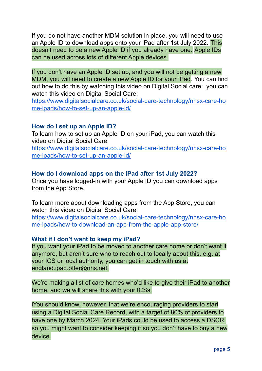If you do not have another MDM solution in place, you will need to use an Apple ID to download apps onto your iPad after 1st July 2022. This doesn't need to be a new Apple ID if you already have one. Apple IDs can be used across lots of different Apple devices.

If you don't have an Apple ID set up, and you will not be getting a new MDM, you will need to create a new Apple ID for your iPad. You can find out how to do this by watching this video on Digital Social care: you can watch this video on Digital Social Care:

[https://www.digitalsocialcare.co.uk/social-care-technology/nhsx-care-ho](https://www.digitalsocialcare.co.uk/social-care-technology/nhsx-care-home-ipads/how-to-set-up-an-apple-id/) [me-ipads/how-to-set-up-an-apple-id/](https://www.digitalsocialcare.co.uk/social-care-technology/nhsx-care-home-ipads/how-to-set-up-an-apple-id/)

# <span id="page-5-0"></span>**How do I set up an Apple ID?**

To learn how to set up an Apple ID on your iPad, you can watch this video on Digital Social Care:

[https://www.digitalsocialcare.co.uk/social-care-technology/nhsx-care-ho](https://www.digitalsocialcare.co.uk/social-care-technology/nhsx-care-home-ipads/how-to-set-up-an-apple-id/) [me-ipads/how-to-set-up-an-apple-id/](https://www.digitalsocialcare.co.uk/social-care-technology/nhsx-care-home-ipads/how-to-set-up-an-apple-id/)

# <span id="page-5-1"></span>**How do I download apps on the iPad after 1st July 2022?**

Once you have logged-in with your Apple ID you can download apps from the App Store.

To learn more about downloading apps from the App Store, you can watch this video on Digital Social Care:

[https://www.digitalsocialcare.co.uk/social-care-technology/nhsx-care-ho](https://www.digitalsocialcare.co.uk/social-care-technology/nhsx-care-home-ipads/how-to-download-an-app-from-the-apple-app-store/) [me-ipads/how-to-download-an-app-from-the-apple-app-store/](https://www.digitalsocialcare.co.uk/social-care-technology/nhsx-care-home-ipads/how-to-download-an-app-from-the-apple-app-store/)

# <span id="page-5-2"></span>**What if I don't want to keep my iPad?**

If you want your iPad to be moved to another care home or don't want it anymore, but aren't sure who to reach out to locally about this, e.g. at your ICS or local authority, you can get in touch with us at england.ipad.offer@nhs.net.

We're making a list of care homes who'd like to give their iPad to another home, and we will share this with your ICSs.

iYou should know, however, that we're encouraging providers to start using a Digital Social Care Record, with a target of 80% of providers to have one by March 2024. Your iPads could be used to access a DSCR, so you might want to consider keeping it so you don't have to buy a new device.